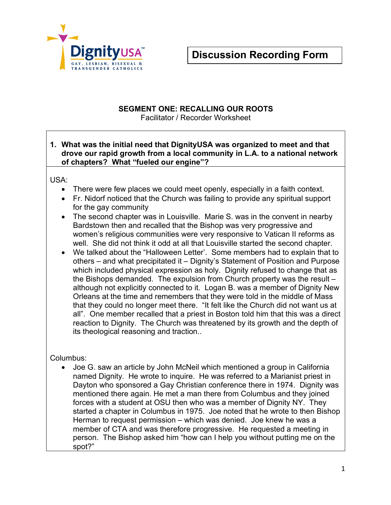

## **SEGMENT ONE: RECALLING OUR ROOTS**

Facilitator / Recorder Worksheet

### **1. What was the initial need that DignityUSA was organized to meet and that drove our rapid growth from a local community in L.A. to a national network of chapters? What "fueled our engine"?**

### USA:

- There were few places we could meet openly, especially in a faith context.
- Fr. Nidorf noticed that the Church was failing to provide any spiritual support for the gay community
- The second chapter was in Louisville. Marie S. was in the convent in nearby Bardstown then and recalled that the Bishop was very progressive and women's religious communities were very responsive to Vatican II reforms as well. She did not think it odd at all that Louisville started the second chapter.
- We talked about the "Halloween Letter'. Some members had to explain that to others – and what precipitated it – Dignity's Statement of Position and Purpose which included physical expression as holy. Dignity refused to change that as the Bishops demanded. The expulsion from Church property was the result – although not explicitly connected to it. Logan B. was a member of Dignity New Orleans at the time and remembers that they were told in the middle of Mass that they could no longer meet there. "It felt like the Church did not want us at all". One member recalled that a priest in Boston told him that this was a direct reaction to Dignity. The Church was threatened by its growth and the depth of its theological reasoning and traction..

### Columbus:

• Joe G. saw an article by John McNeil which mentioned a group in California named Dignity. He wrote to inquire. He was referred to a Marianist priest in Dayton who sponsored a Gay Christian conference there in 1974. Dignity was mentioned there again. He met a man there from Columbus and they joined forces with a student at OSU then who was a member of Dignity NY. They started a chapter in Columbus in 1975. Joe noted that he wrote to then Bishop Herman to request permission – which was denied. Joe knew he was a member of CTA and was therefore progressive. He requested a meeting in person. The Bishop asked him "how can I help you without putting me on the spot?"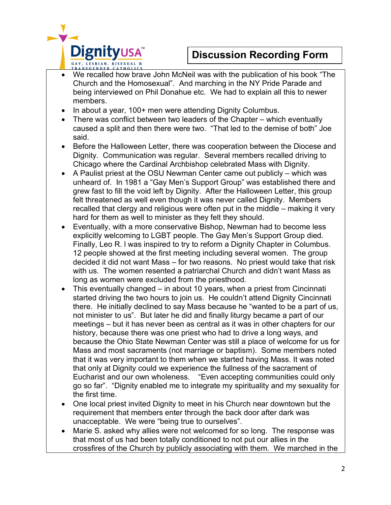



- We recalled how brave John McNeil was with the publication of his book "The Church and the Homosexual". And marching in the NY Pride Parade and being interviewed on Phil Donahue etc. We had to explain all this to newer members.
- In about a year, 100+ men were attending Dignity Columbus.
- There was conflict between two leaders of the Chapter which eventually caused a split and then there were two. "That led to the demise of both" Joe said.
- Before the Halloween Letter, there was cooperation between the Diocese and Dignity. Communication was regular. Several members recalled driving to Chicago where the Cardinal Archbishop celebrated Mass with Dignity.
- A Paulist priest at the OSU Newman Center came out publicly which was unheard of. In 1981 a "Gay Men's Support Group" was established there and grew fast to fill the void left by Dignity. After the Halloween Letter, this group felt threatened as well even though it was never called Dignity. Members recalled that clergy and religious were often put in the middle – making it very hard for them as well to minister as they felt they should.
- Eventually, with a more conservative Bishop, Newman had to become less explicitly welcoming to LGBT people. The Gay Men's Support Group died. Finally, Leo R. l was inspired to try to reform a Dignity Chapter in Columbus. 12 people showed at the first meeting including several women. The group decided it did not want Mass – for two reasons. No priest would take that risk with us. The women resented a patriarchal Church and didn't want Mass as long as women were excluded from the priesthood.
- This eventually changed in about 10 years, when a priest from Cincinnati started driving the two hours to join us. He couldn't attend Dignity Cincinnati there. He initially declined to say Mass because he "wanted to be a part of us, not minister to us". But later he did and finally liturgy became a part of our meetings – but it has never been as central as it was in other chapters for our history, because there was one priest who had to drive a long ways, and because the Ohio State Newman Center was still a place of welcome for us for Mass and most sacraments (not marriage or baptism). Some members noted that it was very important to them when we started having Mass. It was noted that only at Dignity could we experience the fullness of the sacrament of Eucharist and our own wholeness. "Even accepting communities could only go so far". "Dignity enabled me to integrate my spirituality and my sexuality for the first time.
- One local priest invited Dignity to meet in his Church near downtown but the requirement that members enter through the back door after dark was unacceptable. We were "being true to ourselves".
- Marie S. asked why allies were not welcomed for so long. The response was that most of us had been totally conditioned to not put our allies in the crossfires of the Church by publicly associating with them. We marched in the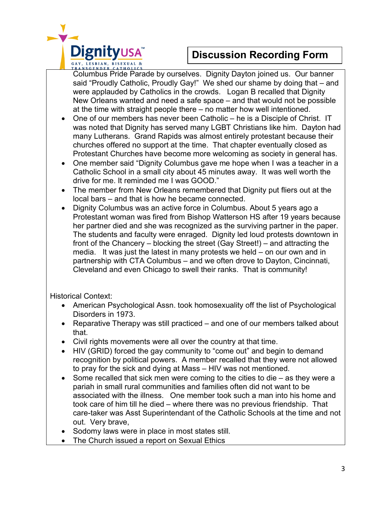

# **Discussion Recording Form**

Columbus Pride Parade by ourselves. Dignity Dayton joined us. Our banner said "Proudly Catholic, Proudly Gay!" We shed our shame by doing that – and were applauded by Catholics in the crowds. Logan B recalled that Dignity New Orleans wanted and need a safe space – and that would not be possible at the time with straight people there – no matter how well intentioned.

- One of our members has never been Catholic he is a Disciple of Christ. IT was noted that Dignity has served many LGBT Christians like him. Dayton had many Lutherans. Grand Rapids was almost entirely protestant because their churches offered no support at the time. That chapter eventually closed as Protestant Churches have become more welcoming as society in general has.
- One member said "Dignity Columbus gave me hope when I was a teacher in a Catholic School in a small city about 45 minutes away. It was well worth the drive for me. It reminded me I was GOOD."
- The member from New Orleans remembered that Dignity put fliers out at the local bars – and that is how he became connected.
- Dignity Columbus was an active force in Columbus. About 5 years ago a Protestant woman was fired from Bishop Watterson HS after 19 years because her partner died and she was recognized as the surviving partner in the paper. The students and faculty were enraged. Dignity led loud protests downtown in front of the Chancery – blocking the street (Gay Street!) – and attracting the media. It was just the latest in many protests we held – on our own and in partnership with CTA Columbus – and we often drove to Dayton, Cincinnati, Cleveland and even Chicago to swell their ranks. That is community!

Historical Context:

- American Psychological Assn. took homosexuality off the list of Psychological Disorders in 1973.
- Reparative Therapy was still practiced and one of our members talked about that.
- Civil rights movements were all over the country at that time.
- HIV (GRID) forced the gay community to "come out" and begin to demand recognition by political powers. A member recalled that they were not allowed to pray for the sick and dying at Mass – HIV was not mentioned.
- Some recalled that sick men were coming to the cities to die  $-$  as they were a pariah in small rural communities and families often did not want to be associated with the illness. One member took such a man into his home and took care of him till he died – where there was no previous friendship. That care-taker was Asst Superintendant of the Catholic Schools at the time and not out. Very brave,
- Sodomy laws were in place in most states still.
- The Church issued a report on Sexual Ethics